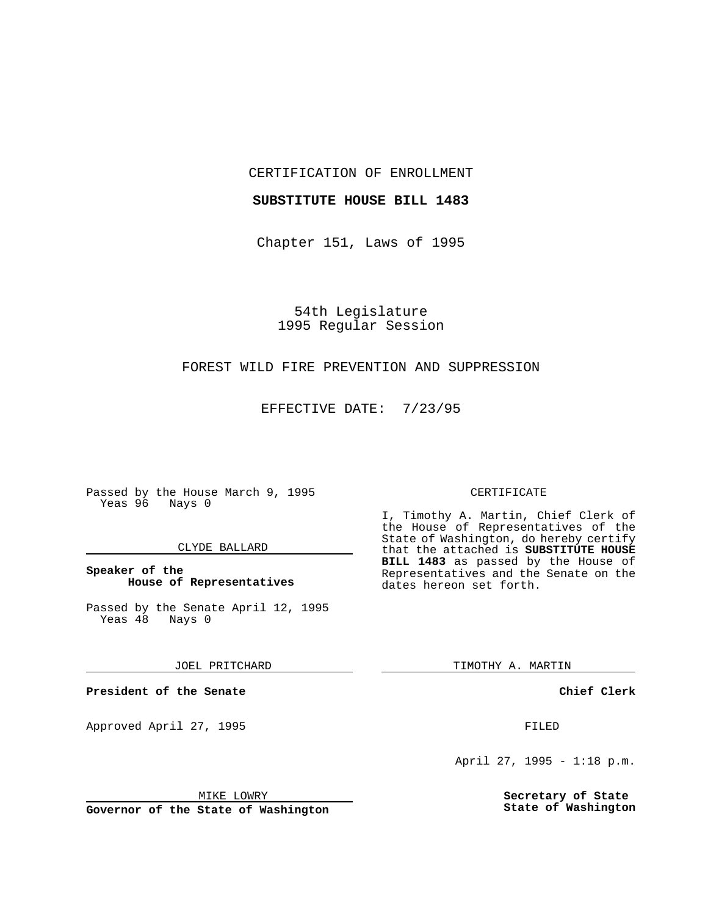CERTIFICATION OF ENROLLMENT

#### **SUBSTITUTE HOUSE BILL 1483**

Chapter 151, Laws of 1995

54th Legislature 1995 Regular Session

# FOREST WILD FIRE PREVENTION AND SUPPRESSION

EFFECTIVE DATE: 7/23/95

Passed by the House March 9, 1995 Yeas 96 Nays 0

## CLYDE BALLARD

# **Speaker of the House of Representatives**

Passed by the Senate April 12, 1995<br>Yeas 48 Nays 0 Yeas 48

JOEL PRITCHARD

**President of the Senate**

Approved April 27, 1995 FILED

## MIKE LOWRY

**Governor of the State of Washington**

#### CERTIFICATE

I, Timothy A. Martin, Chief Clerk of the House of Representatives of the State of Washington, do hereby certify that the attached is **SUBSTITUTE HOUSE BILL 1483** as passed by the House of Representatives and the Senate on the dates hereon set forth.

TIMOTHY A. MARTIN

**Chief Clerk**

April 27, 1995 - 1:18 p.m.

**Secretary of State State of Washington**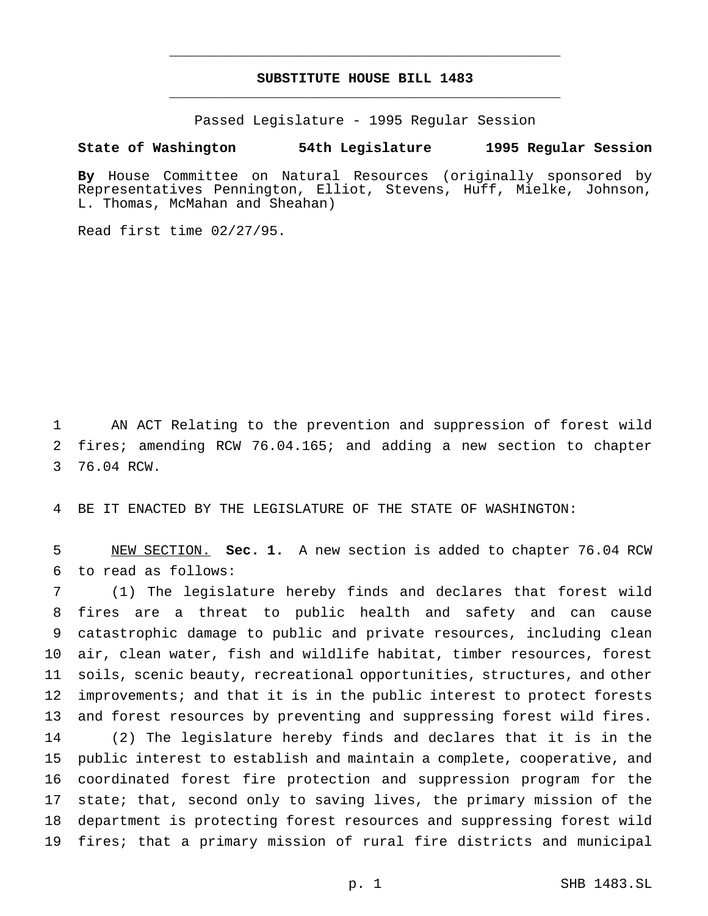# **SUBSTITUTE HOUSE BILL 1483** \_\_\_\_\_\_\_\_\_\_\_\_\_\_\_\_\_\_\_\_\_\_\_\_\_\_\_\_\_\_\_\_\_\_\_\_\_\_\_\_\_\_\_\_\_\_\_

\_\_\_\_\_\_\_\_\_\_\_\_\_\_\_\_\_\_\_\_\_\_\_\_\_\_\_\_\_\_\_\_\_\_\_\_\_\_\_\_\_\_\_\_\_\_\_

Passed Legislature - 1995 Regular Session

#### **State of Washington 54th Legislature 1995 Regular Session**

**By** House Committee on Natural Resources (originally sponsored by Representatives Pennington, Elliot, Stevens, Huff, Mielke, Johnson, L. Thomas, McMahan and Sheahan)

Read first time 02/27/95.

 AN ACT Relating to the prevention and suppression of forest wild fires; amending RCW 76.04.165; and adding a new section to chapter 76.04 RCW.

BE IT ENACTED BY THE LEGISLATURE OF THE STATE OF WASHINGTON:

 NEW SECTION. **Sec. 1.** A new section is added to chapter 76.04 RCW to read as follows:

 (1) The legislature hereby finds and declares that forest wild fires are a threat to public health and safety and can cause catastrophic damage to public and private resources, including clean air, clean water, fish and wildlife habitat, timber resources, forest soils, scenic beauty, recreational opportunities, structures, and other improvements; and that it is in the public interest to protect forests and forest resources by preventing and suppressing forest wild fires. (2) The legislature hereby finds and declares that it is in the public interest to establish and maintain a complete, cooperative, and coordinated forest fire protection and suppression program for the state; that, second only to saving lives, the primary mission of the department is protecting forest resources and suppressing forest wild fires; that a primary mission of rural fire districts and municipal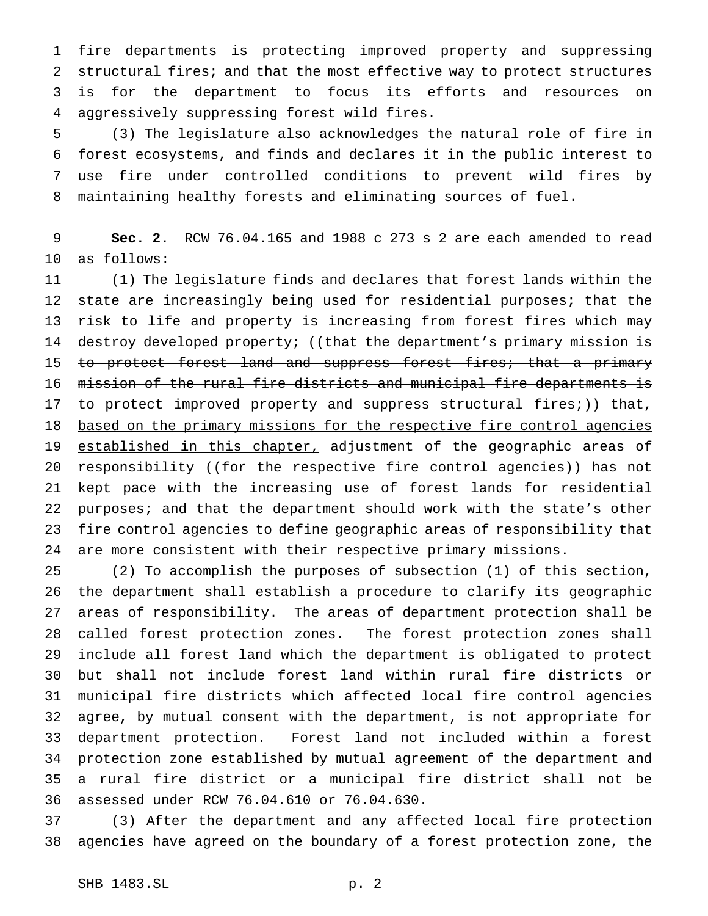fire departments is protecting improved property and suppressing structural fires; and that the most effective way to protect structures is for the department to focus its efforts and resources on aggressively suppressing forest wild fires.

 (3) The legislature also acknowledges the natural role of fire in forest ecosystems, and finds and declares it in the public interest to use fire under controlled conditions to prevent wild fires by maintaining healthy forests and eliminating sources of fuel.

 **Sec. 2.** RCW 76.04.165 and 1988 c 273 s 2 are each amended to read as follows:

 (1) The legislature finds and declares that forest lands within the state are increasingly being used for residential purposes; that the risk to life and property is increasing from forest fires which may 14 destroy developed property; ((that the department's primary mission is 15 to protect forest land and suppress forest fires; that a primary mission of the rural fire districts and municipal fire departments is 17 to protect improved property and suppress structural fires;)) that, 18 based on the primary missions for the respective fire control agencies 19 established in this chapter, adjustment of the geographic areas of 20 responsibility ((for the respective fire control agencies)) has not kept pace with the increasing use of forest lands for residential purposes; and that the department should work with the state's other fire control agencies to define geographic areas of responsibility that are more consistent with their respective primary missions.

 (2) To accomplish the purposes of subsection (1) of this section, the department shall establish a procedure to clarify its geographic areas of responsibility. The areas of department protection shall be called forest protection zones. The forest protection zones shall include all forest land which the department is obligated to protect but shall not include forest land within rural fire districts or municipal fire districts which affected local fire control agencies agree, by mutual consent with the department, is not appropriate for department protection. Forest land not included within a forest protection zone established by mutual agreement of the department and a rural fire district or a municipal fire district shall not be assessed under RCW 76.04.610 or 76.04.630.

 (3) After the department and any affected local fire protection agencies have agreed on the boundary of a forest protection zone, the